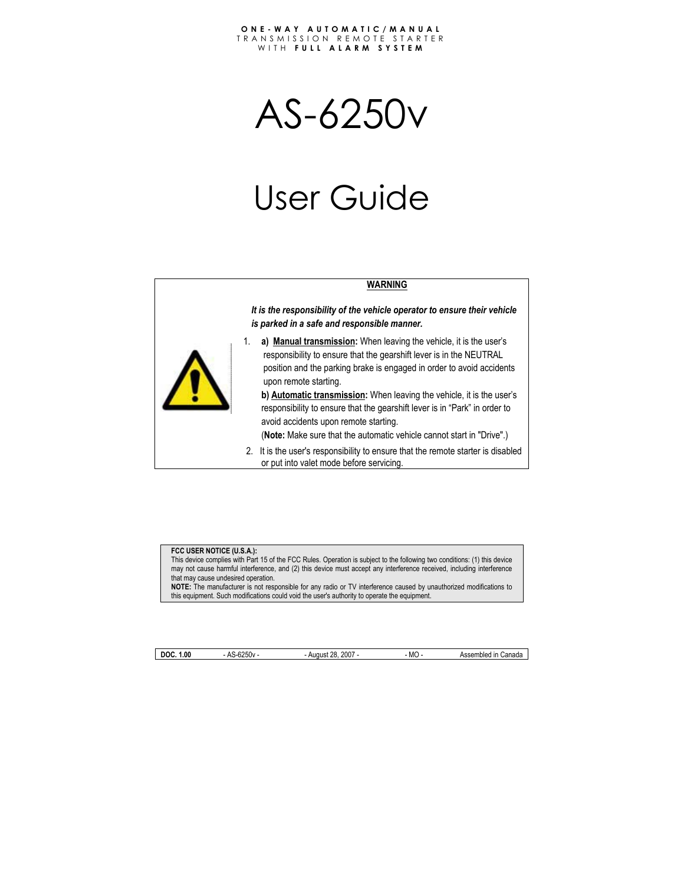AS-6250v

# User Guide



*It is the responsibility of the vehicle operator to ensure their vehicle is parked in a safe and responsible manner.* 



1. **a) Manual transmission:** When leaving the vehicle, it is the user's responsibility to ensure that the gearshift lever is in the NEUTRAL position and the parking brake is engaged in order to avoid accidents upon remote starting.

**b) Automatic transmission:** When leaving the vehicle, it is the user's responsibility to ensure that the gearshift lever is in "Park" in order to avoid accidents upon remote starting.

(**Note:** Make sure that the automatic vehicle cannot start in "Drive".)

2. It is the user's responsibility to ensure that the remote starter is disabled or put into valet mode before servicing.

#### **FCC USER NOTICE (U.S.A.):**

This device complies with Part 15 of the FCC Rules. Operation is subject to the following two conditions: (1) this device may not cause harmful interference, and (2) this device must accept any interference received, including interference that may cause undesired operation.

**NOTE:** The manufacturer is not responsible for any radio or TV interference caused by unauthorized modifications to this equipment. Such modifications could void the user's authority to operate the equipment.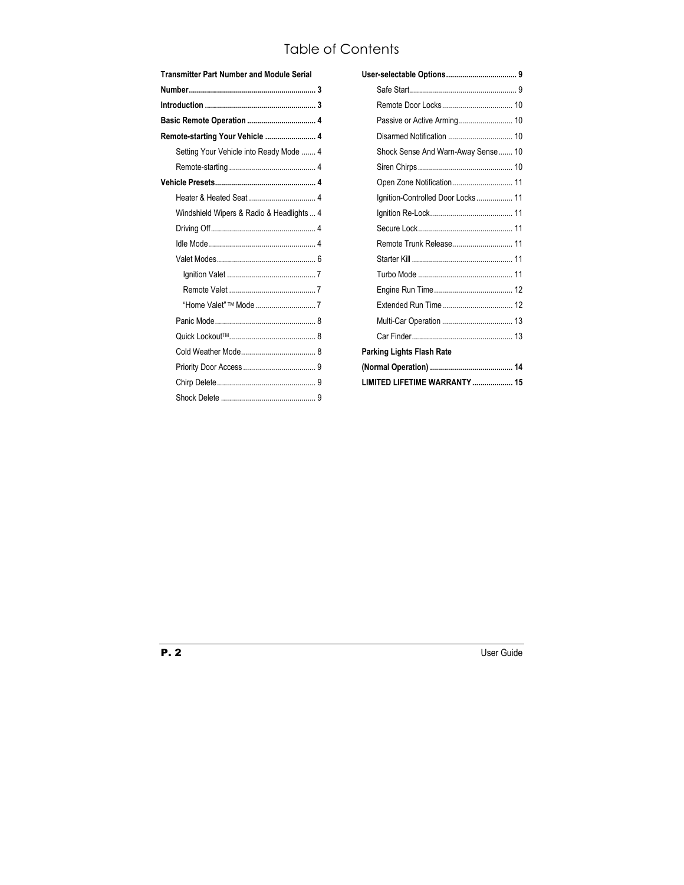# Table of Contents

| <b>Transmitter Part Number and Module Serial</b> |  |  |
|--------------------------------------------------|--|--|
|                                                  |  |  |
|                                                  |  |  |
|                                                  |  |  |
| Remote-starting Your Vehicle  4                  |  |  |
| Setting Your Vehicle into Ready Mode  4          |  |  |
|                                                  |  |  |
|                                                  |  |  |
|                                                  |  |  |
| Windshield Wipers & Radio & Headlights  4        |  |  |
|                                                  |  |  |
|                                                  |  |  |
|                                                  |  |  |
|                                                  |  |  |
|                                                  |  |  |
|                                                  |  |  |
|                                                  |  |  |
|                                                  |  |  |
|                                                  |  |  |
|                                                  |  |  |
|                                                  |  |  |
|                                                  |  |  |

| Shock Sense And Warn-Away Sense 10 |
|------------------------------------|
|                                    |
| Open Zone Notification 11          |
| Ignition-Controlled Door Locks 11  |
|                                    |
|                                    |
|                                    |
|                                    |
|                                    |
|                                    |
|                                    |
|                                    |
|                                    |
| Parking Lights Flash Rate          |
|                                    |
| LIMITED LIFETIME WARRANTY  15      |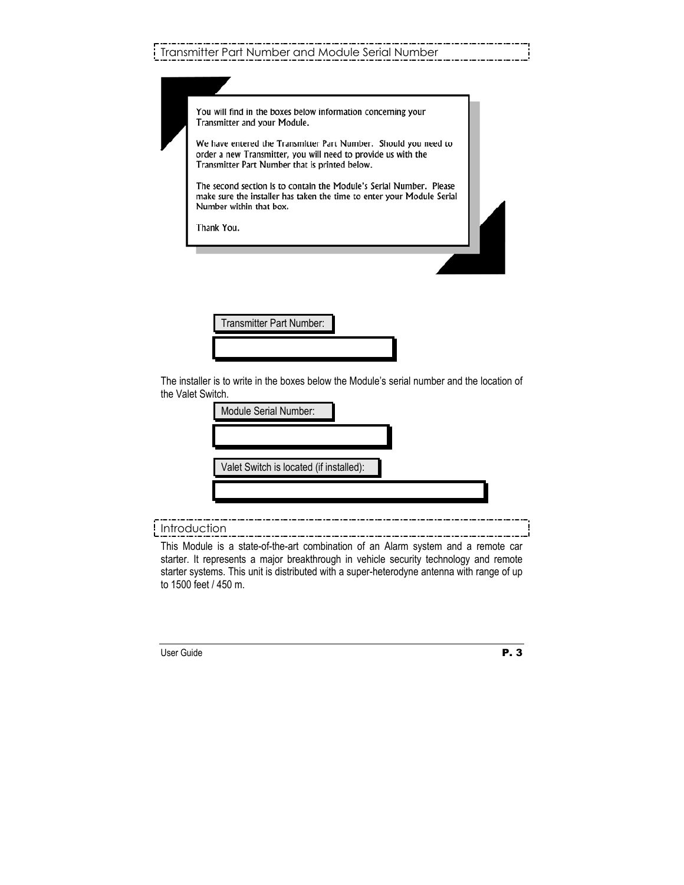| You will find in the boxes below information concerning your<br>Transmitter and your Module.                                                                                       |
|------------------------------------------------------------------------------------------------------------------------------------------------------------------------------------|
| We have entered the Transmitter Part Number. Should you need to<br>order a new Transmitter, you will need to provide us with the<br>Transmitter Part Number that is printed below. |
| The second section is to contain the Module's Serial Number. Please<br>make sure the installer has taken the time to enter your Module Serial<br>Number within that box.           |
| Thank You.                                                                                                                                                                         |

Transmitter Part Number:

The installer is to write in the boxes below the Module's serial number and the location of the Valet Switch.

| Module Serial Number:                   |  |  |  |
|-----------------------------------------|--|--|--|
|                                         |  |  |  |
| Valet Switch is located (if installed): |  |  |  |
|                                         |  |  |  |

Introduction

This Module is a state-of-the-art combination of an Alarm system and a remote car starter. It represents a major breakthrough in vehicle security technology and remote starter systems. This unit is distributed with a super-heterodyne antenna with range of up to 1500 feet / 450 m.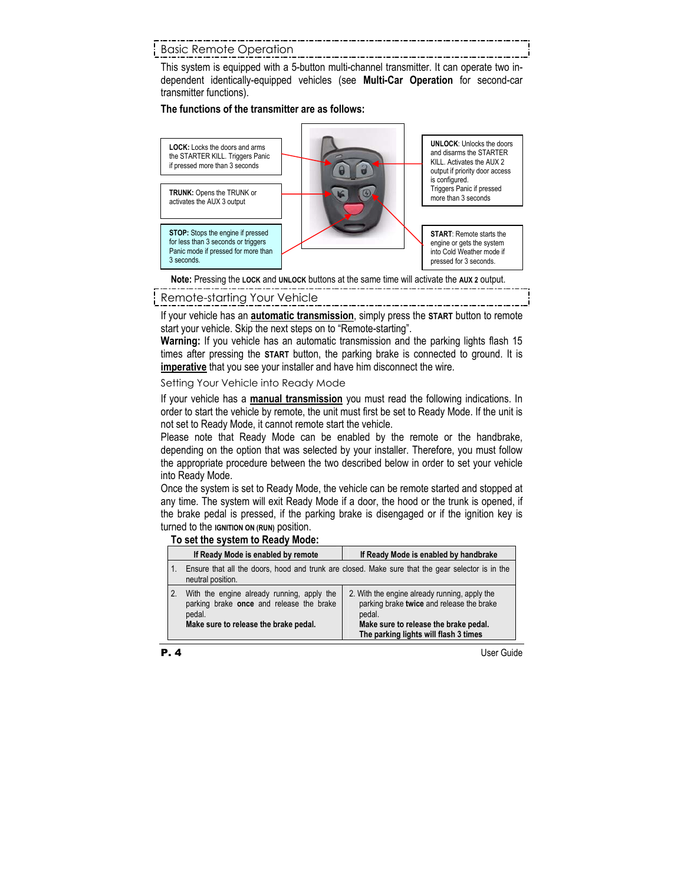# Basic Remote Operation

This system is equipped with a 5-button multi-channel transmitter. It can operate two independent identically-equipped vehicles (see **Multi-Car Operation** for second-car transmitter functions).

#### **The functions of the transmitter are as follows:**



**Note:** Pressing the **LOCK** and **UNLOCK** buttons at the same time will activate the **AUX 2** output.

## Remote-starting Your Vehicle

If your vehicle has an **automatic transmission**, simply press the **START** button to remote start your vehicle. Skip the next steps on to "Remote-starting".

**Warning:** If you vehicle has an automatic transmission and the parking lights flash 15 times after pressing the **START** button, the parking brake is connected to ground. It is **imperative** that you see your installer and have him disconnect the wire.

Setting Your Vehicle into Ready Mode

If your vehicle has a **manual transmission** you must read the following indications. In order to start the vehicle by remote, the unit must first be set to Ready Mode. If the unit is not set to Ready Mode, it cannot remote start the vehicle.

Please note that Ready Mode can be enabled by the remote or the handbrake, depending on the option that was selected by your installer. Therefore, you must follow the appropriate procedure between the two described below in order to set your vehicle into Ready Mode.

Once the system is set to Ready Mode, the vehicle can be remote started and stopped at any time. The system will exit Ready Mode if a door, the hood or the trunk is opened, if the brake pedal is pressed, if the parking brake is disengaged or if the ignition key is turned to the **IGNITION ON (RUN)** position.

#### **To set the system to Ready Mode:**

|                  | If Ready Mode is enabled by remote                                                                                                        | If Ready Mode is enabled by handbrake                                                                                                                                                  |
|------------------|-------------------------------------------------------------------------------------------------------------------------------------------|----------------------------------------------------------------------------------------------------------------------------------------------------------------------------------------|
| $\overline{1}$ . | neutral position.                                                                                                                         | Ensure that all the doors, hood and trunk are closed. Make sure that the gear selector is in the                                                                                       |
| 2.               | With the engine already running, apply the<br>parking brake once and release the brake<br>pedal.<br>Make sure to release the brake pedal. | 2. With the engine already running, apply the<br>parking brake twice and release the brake<br>pedal.<br>Make sure to release the brake pedal.<br>The parking lights will flash 3 times |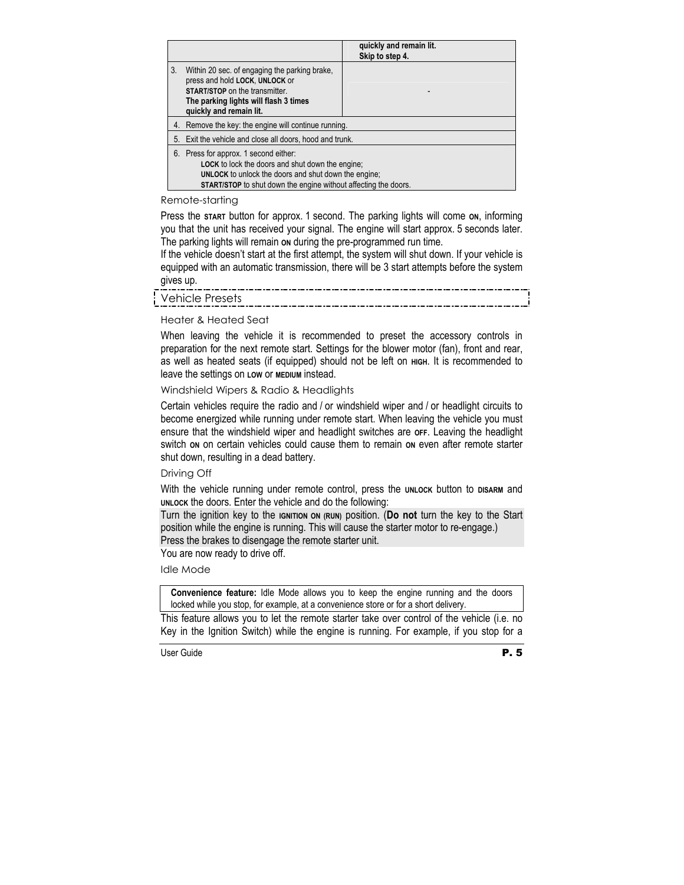|    |                                                                                                                                                                                                                                        | quickly and remain lit.<br>Skip to step 4. |
|----|----------------------------------------------------------------------------------------------------------------------------------------------------------------------------------------------------------------------------------------|--------------------------------------------|
| 3. | Within 20 sec. of engaging the parking brake,<br>press and hold LOCK, UNLOCK or<br><b>START/STOP</b> on the transmitter.<br>The parking lights will flash 3 times<br>quickly and remain lit.                                           |                                            |
|    | 4. Remove the key: the engine will continue running.                                                                                                                                                                                   |                                            |
|    | 5. Exit the vehicle and close all doors, hood and trunk.                                                                                                                                                                               |                                            |
| 6. | Press for approx. 1 second either:<br><b>LOCK</b> to lock the doors and shut down the engine;<br><b>UNLOCK</b> to unlock the doors and shut down the engine;<br><b>START/STOP</b> to shut down the engine without affecting the doors. |                                            |

#### Remote-starting

Press the **START** button for approx. 1 second. The parking lights will come **ON**, informing you that the unit has received your signal. The engine will start approx. 5 seconds later. The parking lights will remain on during the pre-programmed run time.

If the vehicle doesn't start at the first attempt, the system will shut down. If your vehicle is equipped with an automatic transmission, there will be 3 start attempts before the system gives up.

#### Heater & Heated Seat

When leaving the vehicle it is recommended to preset the accessory controls in preparation for the next remote start. Settings for the blower motor (fan), front and rear, as well as heated seats (if equipped) should not be left on **HIGH**. It is recommended to leave the settings on **LOW** or **MEDIUM** instead.

Windshield Wipers & Radio & Headlights

Certain vehicles require the radio and / or windshield wiper and / or headlight circuits to become energized while running under remote start. When leaving the vehicle you must ensure that the windshield wiper and headlight switches are **OFF**. Leaving the headlight switch **ON** on certain vehicles could cause them to remain **ON** even after remote starter shut down, resulting in a dead battery.

#### Driving Off

With the vehicle running under remote control, press the **UNLOCK** button to **DISARM** and **UNLOCK** the doors. Enter the vehicle and do the following:

Turn the ignition key to the **IGNITION ON (RUN)** position. (**Do not** turn the key to the Start position while the engine is running. This will cause the starter motor to re-engage.)

Press the brakes to disengage the remote starter unit.

You are now ready to drive off.

Idle Mode

**Convenience feature:** Idle Mode allows you to keep the engine running and the doors locked while you stop, for example, at a convenience store or for a short delivery.

This feature allows you to let the remote starter take over control of the vehicle (i.e. no Key in the Ignition Switch) while the engine is running. For example, if you stop for a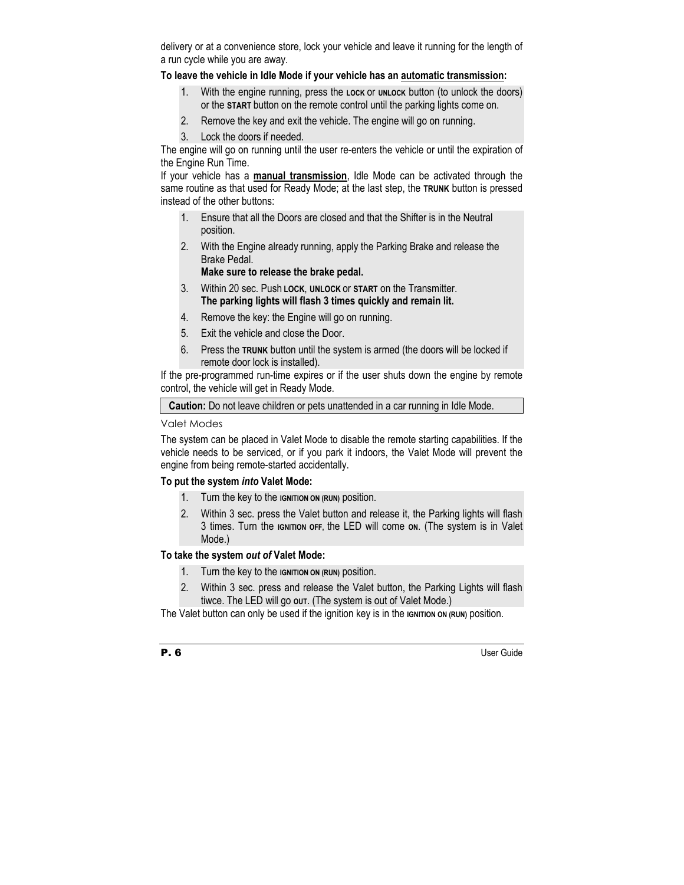delivery or at a convenience store, lock your vehicle and leave it running for the length of a run cycle while you are away.

# **To leave the vehicle in Idle Mode if your vehicle has an automatic transmission:**

- 1. With the engine running, press the **LOCK** or **UNLOCK** button (to unlock the doors) or the **START** button on the remote control until the parking lights come on.
- 2. Remove the key and exit the vehicle. The engine will go on running.
- 3. Lock the doors if needed.

The engine will go on running until the user re-enters the vehicle or until the expiration of the Engine Run Time.

If your vehicle has a **manual transmission**, Idle Mode can be activated through the same routine as that used for Ready Mode; at the last step, the **TRUNK** button is pressed instead of the other buttons:

- 1. Ensure that all the Doors are closed and that the Shifter is in the Neutral position.
- 2. With the Engine already running, apply the Parking Brake and release the Brake Pedal.

**Make sure to release the brake pedal.** 

- 3. Within 20 sec. Push **LOCK**, **UNLOCK** or **START** on the Transmitter. **The parking lights will flash 3 times quickly and remain lit.**
- 4. Remove the key: the Engine will go on running.
- 5. Exit the vehicle and close the Door.
- 6. Press the **TRUNK** button until the system is armed (the doors will be locked if remote door lock is installed).

If the pre-programmed run-time expires or if the user shuts down the engine by remote control, the vehicle will get in Ready Mode.

**Caution:** Do not leave children or pets unattended in a car running in Idle Mode.

## Valet Modes

The system can be placed in Valet Mode to disable the remote starting capabilities. If the vehicle needs to be serviced, or if you park it indoors, the Valet Mode will prevent the engine from being remote-started accidentally.

## **To put the system** *into* **Valet Mode:**

- 1. Turn the key to the **IGNITION ON (RUN)** position.
- 2. Within 3 sec. press the Valet button and release it, the Parking lights will flash 3 times. Turn the **IGNITION OFF,** the LED will come **ON**. (The system is in Valet Mode.)

## **To take the system** *out of* **Valet Mode:**

- 1. Turn the key to the **IGNITION ON (RUN)** position.
- 2. Within 3 sec. press and release the Valet button, the Parking Lights will flash tiwce. The LED will go **OUT**. (The system is out of Valet Mode.)

The Valet button can only be used if the ignition key is in the **IGNITION** ON (RUN) position.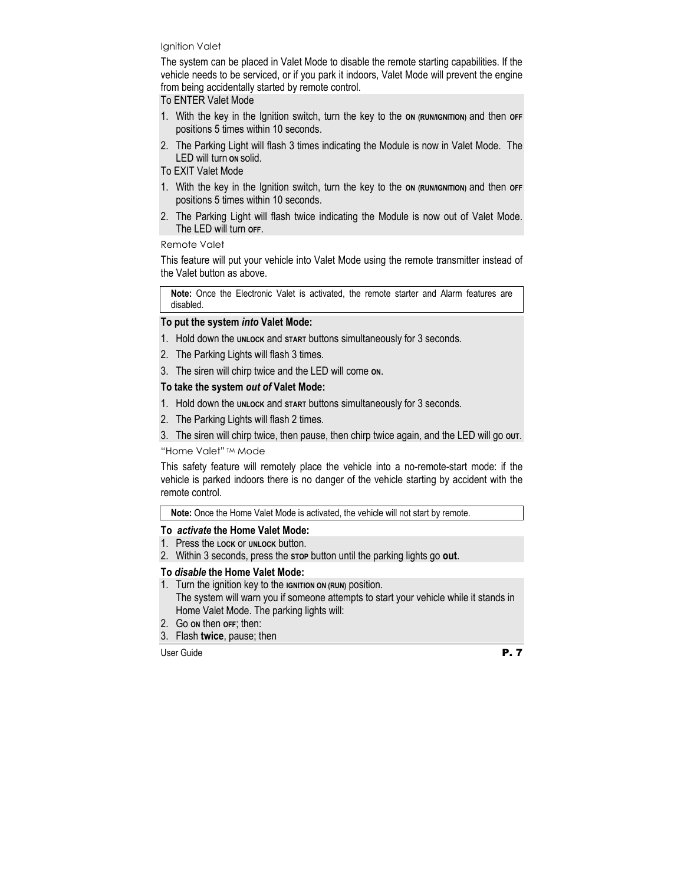#### Ignition Valet

The system can be placed in Valet Mode to disable the remote starting capabilities. If the vehicle needs to be serviced, or if you park it indoors, Valet Mode will prevent the engine from being accidentally started by remote control.

To ENTER Valet Mode

- 1. With the key in the Ignition switch, turn the key to the **ON (RUN/IGNITION)** and then **OFF**  positions 5 times within 10 seconds.
- 2. The Parking Light will flash 3 times indicating the Module is now in Valet Mode. The LED will turn **ON** solid.

#### To EXIT Valet Mode

- 1. With the key in the Ignition switch, turn the key to the **ON (RUN/IGNITION)** and then **OFF**  positions 5 times within 10 seconds.
- 2. The Parking Light will flash twice indicating the Module is now out of Valet Mode. The LED will turn **OFF**.

#### Remote Valet

This feature will put your vehicle into Valet Mode using the remote transmitter instead of the Valet button as above.

**Note:** Once the Electronic Valet is activated, the remote starter and Alarm features are disabled.

#### **To put the system** *into* **Valet Mode:**

- 1. Hold down the **UNLOCK** and **START** buttons simultaneously for 3 seconds.
- 2. The Parking Lights will flash 3 times.
- 3. The siren will chirp twice and the LED will come **ON**.

## **To take the system** *out of* **Valet Mode:**

- 1. Hold down the **UNLOCK** and **START** buttons simultaneously for 3 seconds.
- 2. The Parking Lights will flash 2 times.
- 3. The siren will chirp twice, then pause, then chirp twice again, and the LED will go **OUT**.

#### "Home Valet" TM Mode

This safety feature will remotely place the vehicle into a no-remote-start mode: if the vehicle is parked indoors there is no danger of the vehicle starting by accident with the remote control.

**Note:** Once the Home Valet Mode is activated, the vehicle will not start by remote.

#### **To** *activate* **the Home Valet Mode:**

- 1. Press the **LOCK** or **UNLOCK** button.
- 2. Within 3 seconds, press the **STOP** button until the parking lights go **out**.

## **To** *disable* **the Home Valet Mode:**

- 1. Turn the ignition key to the **IGNITION ON (RUN)** position. The system will warn you if someone attempts to start your vehicle while it stands in Home Valet Mode. The parking lights will:
- 2. Go **ON** then **OFF**; then:
- 3. Flash **twice**, pause; then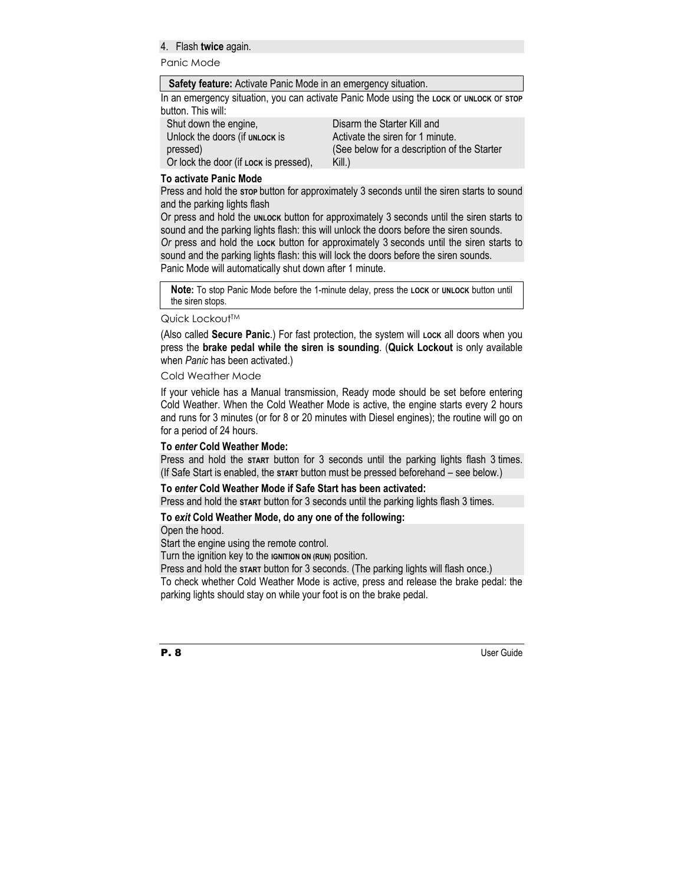#### 4. Flash **twice** again.

Panic Mode

#### **Safety feature:** Activate Panic Mode in an emergency situation.

In an emergency situation, you can activate Panic Mode using the **LOCK** or **UNLOCK** or **STOP** button. This will:

| Shut down the engine,                  | Disarm the Starter Kill and                 |
|----------------------------------------|---------------------------------------------|
| Unlock the doors (if UNLOCK is         | Activate the siren for 1 minute.            |
| pressed)                               | (See below for a description of the Starter |
| Or lock the door (if Lock is pressed), | Kill.)                                      |

#### **To activate Panic Mode**

Press and hold the **STOP** button for approximately 3 seconds until the siren starts to sound and the parking lights flash

Or press and hold the **UNLOCK** button for approximately 3 seconds until the siren starts to sound and the parking lights flash: this will unlock the doors before the siren sounds.

*Or* press and hold the **LOCK** button for approximately 3 seconds until the siren starts to sound and the parking lights flash: this will lock the doors before the siren sounds.

Panic Mode will automatically shut down after 1 minute.

**Note:** To stop Panic Mode before the 1-minute delay, press the **LOCK** or **UNLOCK** button until the siren stops.

#### Quick Lockout™

(Also called **Secure Panic**.) For fast protection, the system will **LOCK** all doors when you press the **brake pedal while the siren is sounding**. (**Quick Lockout** is only available when *Panic* has been activated.)

#### Cold Weather Mode

If your vehicle has a Manual transmission, Ready mode should be set before entering Cold Weather. When the Cold Weather Mode is active, the engine starts every 2 hours and runs for 3 minutes (or for 8 or 20 minutes with Diesel engines); the routine will go on for a period of 24 hours.

#### **To** *enter* **Cold Weather Mode:**

Press and hold the **START** button for 3 seconds until the parking lights flash 3 times. (If Safe Start is enabled, the **START** button must be pressed beforehand – see below*.*)

#### **To** *enter* **Cold Weather Mode if Safe Start has been activated:**

Press and hold the **START** button for 3 seconds until the parking lights flash 3 times.

#### **To** *exit* **Cold Weather Mode, do any one of the following:**

Open the hood.

Start the engine using the remote control.

Turn the ignition key to the **IGNITION ON (RUN)** position.

Press and hold the **START** button for 3 seconds. (The parking lights will flash once.)

To check whether Cold Weather Mode is active, press and release the brake pedal: the parking lights should stay on while your foot is on the brake pedal.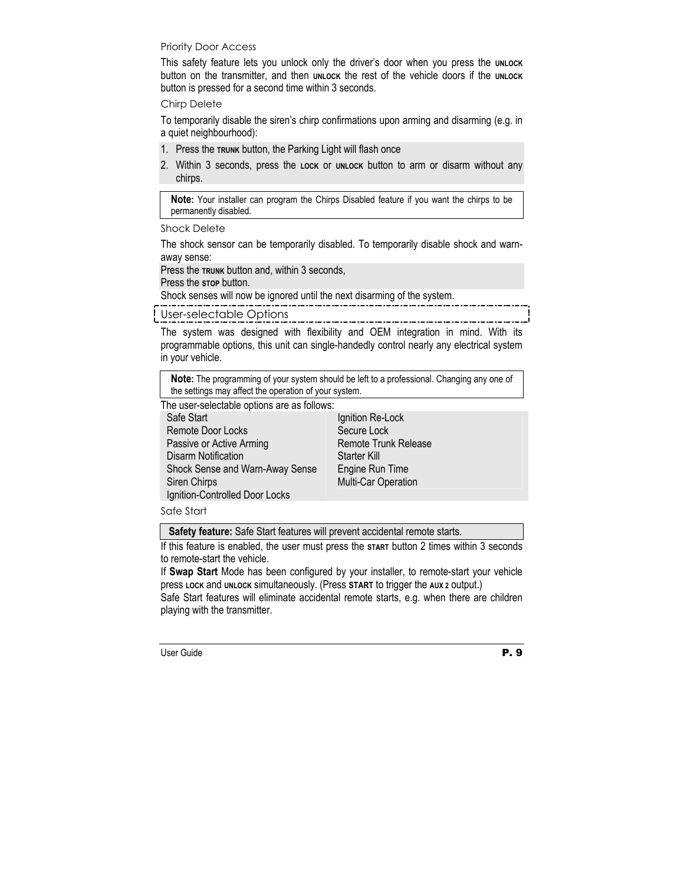#### Priority Door Access

This safety feature lets you unlock only the driver's door when you press the **UNLOCK** button on the transmitter, and then **UNLOCK** the rest of the vehicle doors if the **UNLOCK** button is pressed for a second time within 3 seconds.

#### Chirp Delete

To temporarily disable the siren's chirp confirmations upon arming and disarming (e.g. in a quiet neighbourhood):

- 1. Press the **TRUNK** button, the Parking Light will flash once
- 2. Within 3 seconds, press the **LOCK** or **UNLOCK** button to arm or disarm without any chirps.

**Note:** Your installer can program the Chirps Disabled feature if you want the chirps to be permanently disabled.

Shock Delete

The shock sensor can be temporarily disabled. To temporarily disable shock and warnaway sense:

Press the **TRUNK** button and, within 3 seconds,

Press the stop button.

Shock senses will now be ignored until the next disarming of the system.

User-selectable Options

The system was designed with flexibility and OEM integration in mind. With its programmable options, this unit can single-handedly control nearly any electrical system in your vehicle.

**Note:** The programming of your system should be left to a professional. Changing any one of the settings may affect the operation of your system.

The user-selectable options are as follows:

| Safe Start                      | Ignition Re-Lock            |
|---------------------------------|-----------------------------|
| <b>Remote Door Locks</b>        | Secure Lock                 |
| Passive or Active Arming        | <b>Remote Trunk Release</b> |
| <b>Disarm Notification</b>      | <b>Starter Kill</b>         |
| Shock Sense and Warn-Away Sense | Engine Run Time             |
| Siren Chirps                    | Multi-Car Operation         |
| Ignition-Controlled Door Locks  |                             |

Safe Start

**Safety feature:** Safe Start features will prevent accidental remote starts.

If this feature is enabled, the user must press the **START** button 2 times within 3 seconds to remote-start the vehicle.

If **Swap Start** Mode has been configured by your installer, to remote-start your vehicle press **LOCK** and **UNLOCK** simultaneously. (Press **START** to trigger the **AUX 2** output.)

Safe Start features will eliminate accidental remote starts, e.g. when there are children playing with the transmitter.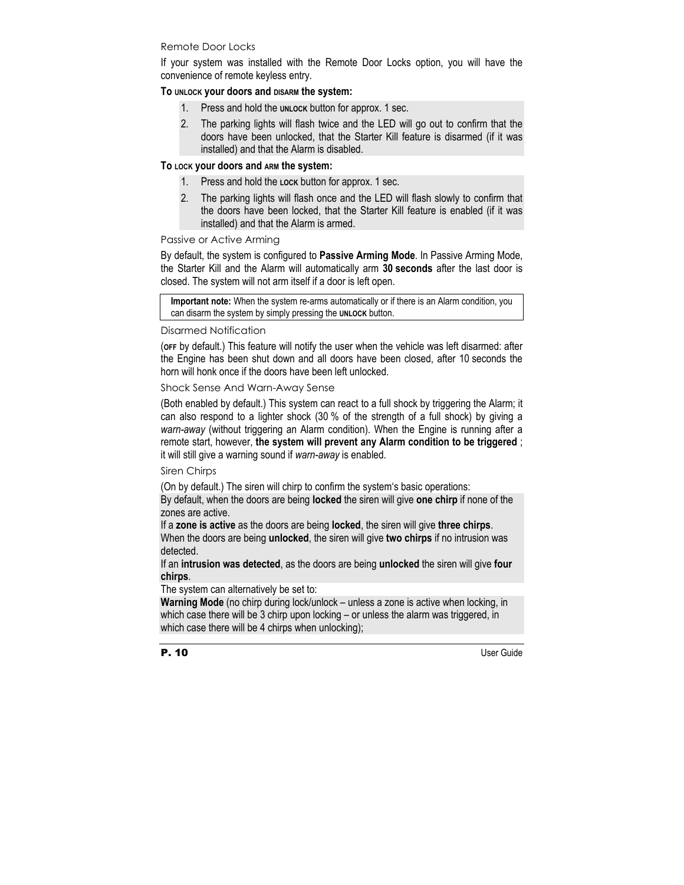#### Remote Door Locks

If your system was installed with the Remote Door Locks option, you will have the convenience of remote keyless entry.

#### **To UNLOCK your doors and DISARM the system:**

- 1. Press and hold the **UNLOCK** button for approx. 1 sec.
- 2. The parking lights will flash twice and the LED will go out to confirm that the doors have been unlocked, that the Starter Kill feature is disarmed (if it was installed) and that the Alarm is disabled.

#### **To LOCK your doors and ARM the system:**

- 1. Press and hold the **LOCK** button for approx. 1 sec.
- 2. The parking lights will flash once and the LED will flash slowly to confirm that the doors have been locked, that the Starter Kill feature is enabled (if it was installed) and that the Alarm is armed.

#### Passive or Active Arming

By default, the system is configured to **Passive Arming Mode**. In Passive Arming Mode, the Starter Kill and the Alarm will automatically arm **30 seconds** after the last door is closed. The system will not arm itself if a door is left open.

**Important note:** When the system re-arms automatically or if there is an Alarm condition, you can disarm the system by simply pressing the **UNLOCK** button.

#### Disarmed Notification

(**OFF** by default.) This feature will notify the user when the vehicle was left disarmed: after the Engine has been shut down and all doors have been closed, after 10 seconds the horn will honk once if the doors have been left unlocked.

Shock Sense And Warn-Away Sense

(Both enabled by default.) This system can react to a full shock by triggering the Alarm; it can also respond to a lighter shock (30 % of the strength of a full shock) by giving a *warn-away* (without triggering an Alarm condition). When the Engine is running after a remote start, however, **the system will prevent any Alarm condition to be triggered** ; it will still give a warning sound if *warn-away* is enabled.

#### Siren Chirps

(On by default.) The siren will chirp to confirm the system's basic operations:

By default, when the doors are being **locked** the siren will give **one chirp** if none of the zones are active.

If a **zone is active** as the doors are being **locked**, the siren will give **three chirps**. When the doors are being **unlocked**, the siren will give **two chirps** if no intrusion was detected.

If an **intrusion was detected**, as the doors are being **unlocked** the siren will give **four chirps**.

The system can alternatively be set to:

**Warning Mode** (no chirp during lock/unlock – unless a zone is active when locking, in which case there will be 3 chirp upon locking – or unless the alarm was triggered, in which case there will be 4 chirps when unlocking);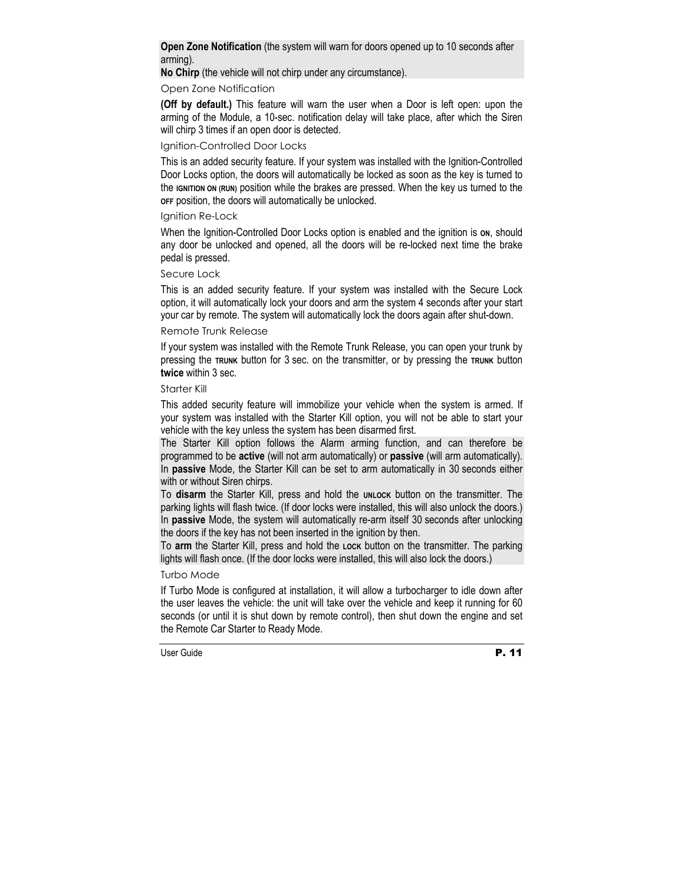**Open Zone Notification** (the system will warn for doors opened up to 10 seconds after arming).

**No Chirp** (the vehicle will not chirp under any circumstance).

## Open Zone Notification

**(Off by default.)** This feature will warn the user when a Door is left open: upon the arming of the Module, a 10-sec. notification delay will take place, after which the Siren will chirp 3 times if an open door is detected.

#### Ignition-Controlled Door Locks

This is an added security feature. If your system was installed with the Ignition-Controlled Door Locks option, the doors will automatically be locked as soon as the key is turned to the **IGNITION ON (RUN)** position while the brakes are pressed. When the key us turned to the **OFF** position, the doors will automatically be unlocked.

#### Ignition Re-Lock

When the Ignition-Controlled Door Locks option is enabled and the ignition is on, should any door be unlocked and opened, all the doors will be re-locked next time the brake pedal is pressed.

#### Secure Lock

This is an added security feature. If your system was installed with the Secure Lock option, it will automatically lock your doors and arm the system 4 seconds after your start your car by remote. The system will automatically lock the doors again after shut-down.

#### Remote Trunk Release

If your system was installed with the Remote Trunk Release, you can open your trunk by pressing the **TRUNK** button for 3 sec. on the transmitter, or by pressing the **TRUNK** button **twice** within 3 sec.

#### Starter Kill

This added security feature will immobilize your vehicle when the system is armed. If your system was installed with the Starter Kill option, you will not be able to start your vehicle with the key unless the system has been disarmed first.

The Starter Kill option follows the Alarm arming function, and can therefore be programmed to be **active** (will not arm automatically) or **passive** (will arm automatically). In **passive** Mode, the Starter Kill can be set to arm automatically in 30 seconds either with or without Siren chirps.

To disarm the Starter Kill, press and hold the **UNLOCK** button on the transmitter. The parking lights will flash twice. (If door locks were installed, this will also unlock the doors.) In **passive** Mode, the system will automatically re-arm itself 30 seconds after unlocking the doors if the key has not been inserted in the ignition by then.

To **arm** the Starter Kill, press and hold the **LOCK** button on the transmitter. The parking lights will flash once. (If the door locks were installed, this will also lock the doors.)

#### Turbo Mode

If Turbo Mode is configured at installation, it will allow a turbocharger to idle down after the user leaves the vehicle: the unit will take over the vehicle and keep it running for 60 seconds (or until it is shut down by remote control), then shut down the engine and set the Remote Car Starter to Ready Mode.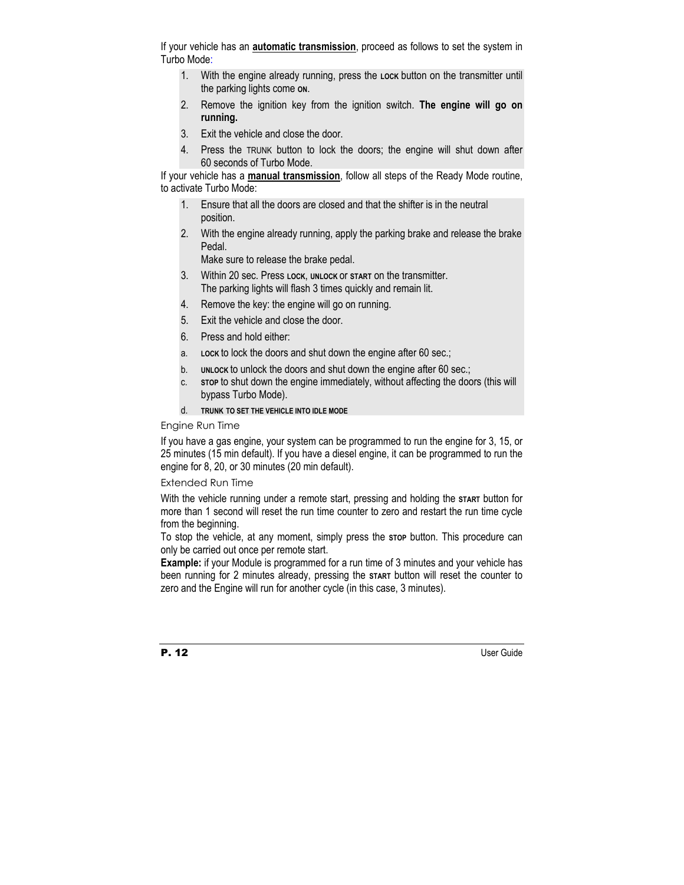If your vehicle has an **automatic transmission**, proceed as follows to set the system in Turbo Mode:

- 1. With the engine already running, press the **LOCK** button on the transmitter until the parking lights come **ON**.
- 2. Remove the ignition key from the ignition switch. **The engine will go on running.**
- 3. Exit the vehicle and close the door.
- 4. Press the TRUNK button to lock the doors; the engine will shut down after 60 seconds of Turbo Mode.

If your vehicle has a **manual transmission**, follow all steps of the Ready Mode routine, to activate Turbo Mode:

- 1. Ensure that all the doors are closed and that the shifter is in the neutral position.
- 2. With the engine already running, apply the parking brake and release the brake Pedal.

Make sure to release the brake pedal.

- 3. Within 20 sec. Press **LOCK**, **UNLOCK** or **START** on the transmitter. The parking lights will flash 3 times quickly and remain lit.
- 4. Remove the key: the engine will go on running.
- 5. Exit the vehicle and close the door.
- 6. Press and hold either:
- a. **LOCK** to lock the doors and shut down the engine after 60 sec.;
- b. **UNLOCK** to unlock the doors and shut down the engine after 60 sec.;
- c. **STOP** to shut down the engine immediately, without affecting the doors (this will bypass Turbo Mode).
- d. **TRUNK TO SET THE VEHICLE INTO IDLE MODE**

#### Engine Run Time

If you have a gas engine, your system can be programmed to run the engine for 3, 15, or 25 minutes (15 min default). If you have a diesel engine, it can be programmed to run the engine for 8, 20, or 30 minutes (20 min default).

#### Extended Run Time

With the vehicle running under a remote start, pressing and holding the start button for more than 1 second will reset the run time counter to zero and restart the run time cycle from the beginning.

To stop the vehicle, at any moment, simply press the **STOP** button. This procedure can only be carried out once per remote start.

**Example:** if your Module is programmed for a run time of 3 minutes and your vehicle has been running for 2 minutes already, pressing the **START** button will reset the counter to zero and the Engine will run for another cycle (in this case, 3 minutes).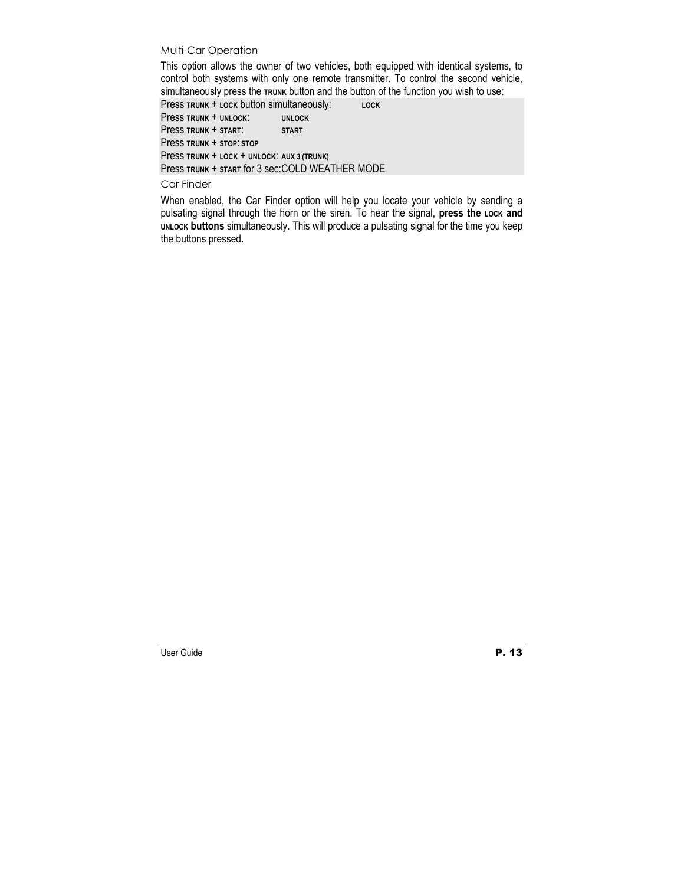#### Multi-Car Operation

This option allows the owner of two vehicles, both equipped with identical systems, to control both systems with only one remote transmitter. To control the second vehicle, simultaneously press the **TRUNK** button and the button of the function you wish to use:

Press **TRUNK** + **LOCK** button simultaneously: **LOCK** Press **TRUNK** + **UNLOCK**: **UNLOCK** Press **TRUNK** + **START**: **START** Press **TRUNK** + **STOP**: **STOP** Press **TRUNK** + **LOCK** + **UNLOCK**: **AUX 3 (TRUNK)** Press **TRUNK** + **START** for 3 sec: COLD WEATHER MODE

#### Car Finder

When enabled, the Car Finder option will help you locate your vehicle by sending a pulsating signal through the horn or the siren. To hear the signal, press the Lock and **UNLOCK buttons** simultaneously. This will produce a pulsating signal for the time you keep the buttons pressed.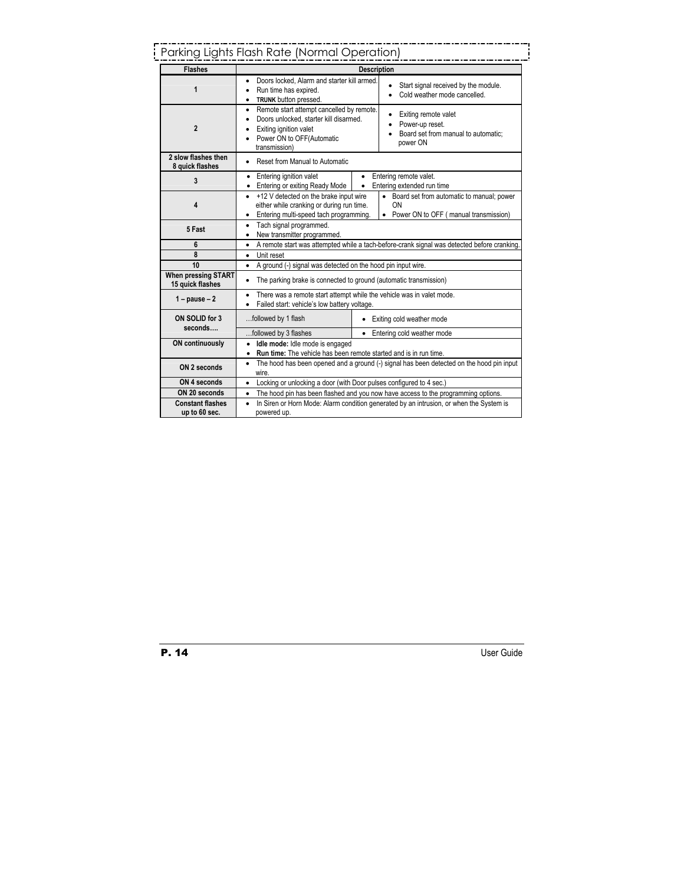# Parking Lights Flash Rate (Normal Operation)

| <b>Flashes</b>                                 | <b>Description</b>                                                                                                                                                                                                                                             |  |  |
|------------------------------------------------|----------------------------------------------------------------------------------------------------------------------------------------------------------------------------------------------------------------------------------------------------------------|--|--|
| 1                                              | Doors locked. Alarm and starter kill armed.<br>$\bullet$<br>Start signal received by the module.<br>Run time has expired.<br>Cold weather mode cancelled.<br>$\bullet$<br>TRUNK button pressed.<br>$\bullet$                                                   |  |  |
| $\mathbf{2}$                                   | Remote start attempt cancelled by remote.<br>٠<br>Exiting remote valet<br>Doors unlocked, starter kill disarmed.<br>Power-up reset.<br>Exiting ignition valet<br>Board set from manual to automatic:<br>Power ON to OFF(Automatic<br>power ON<br>transmission) |  |  |
| 2 slow flashes then<br>8 quick flashes         | Reset from Manual to Automatic                                                                                                                                                                                                                                 |  |  |
| 3                                              | Entering ignition valet<br>Entering remote valet.<br>$\bullet$<br>Entering extended run time<br>Entering or exiting Ready Mode<br>$\bullet$<br>$\bullet$                                                                                                       |  |  |
| 4                                              | +12 V detected on the brake input wire<br>• Board set from automatic to manual; power<br>$\bullet$<br>either while cranking or during run time.<br>ΩN<br>• Power ON to OFF (manual transmission)<br>Entering multi-speed tach programming.<br>٠                |  |  |
| 5 Fast                                         | Tach signal programmed.<br>٠<br>New transmitter programmed.<br>$\bullet$                                                                                                                                                                                       |  |  |
| 6                                              | A remote start was attempted while a tach-before-crank signal was detected before cranking.<br>$\bullet$                                                                                                                                                       |  |  |
| 8                                              | Unit reset<br>$\bullet$                                                                                                                                                                                                                                        |  |  |
| 10                                             | A ground (-) signal was detected on the hood pin input wire.<br>$\bullet$                                                                                                                                                                                      |  |  |
| <b>When pressing START</b><br>15 quick flashes | The parking brake is connected to ground (automatic transmission)<br>$\bullet$                                                                                                                                                                                 |  |  |
| $1 - pause - 2$                                | There was a remote start attempt while the vehicle was in valet mode.<br>٠<br>Failed start: vehicle's low battery voltage.                                                                                                                                     |  |  |
| ON SOLID for 3<br>seconds                      | followed by 1 flash<br>• Exiting cold weather mode                                                                                                                                                                                                             |  |  |
|                                                | followed by 3 flashes<br>• Entering cold weather mode                                                                                                                                                                                                          |  |  |
| <b>ON continuously</b>                         | Idle mode: Idle mode is engaged<br>$\bullet$<br><b>Run time:</b> The vehicle has been remote started and is in run time.<br>$\bullet$                                                                                                                          |  |  |
| ON 2 seconds                                   | The hood has been opened and a ground (-) signal has been detected on the hood pin input<br>$\bullet$<br>wire.                                                                                                                                                 |  |  |
| ON 4 seconds                                   | Locking or unlocking a door (with Door pulses configured to 4 sec.)<br>$\bullet$                                                                                                                                                                               |  |  |
| ON 20 seconds                                  | The hood pin has been flashed and you now have access to the programming options.<br>٠                                                                                                                                                                         |  |  |
| <b>Constant flashes</b><br>up to 60 sec.       | In Siren or Horn Mode: Alarm condition generated by an intrusion, or when the System is<br>$\bullet$<br>powered up.                                                                                                                                            |  |  |

j